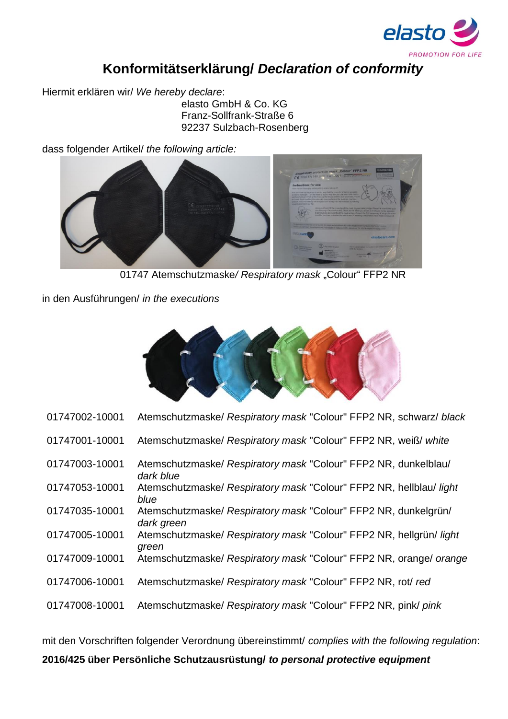

## **Konformitätserklärung/** *Declaration of conformity*

Hiermit erklären wir/ *We hereby declare*:

elasto GmbH & Co. KG Franz-Sollfrank-Straße 6 92237 Sulzbach-Rosenberg

dass folgender Artikel/ *the following article:*



01747 Atemschutzmaske/ Respiratory mask "Colour" FFP2 NR

in den Ausführungen/ *in the executions*



- 01747002-10001 Atemschutzmaske/ *Respiratory mask* "Colour" FFP2 NR, schwarz/ *black*
- 01747001-10001 Atemschutzmaske/ *Respiratory mask* "Colour" FFP2 NR, weiß/ *white*
- 01747003-10001 Atemschutzmaske/ *Respiratory mask* "Colour" FFP2 NR, dunkelblau/ *dark blue*
- 01747053-10001 Atemschutzmaske/ *Respiratory mask* "Colour" FFP2 NR, hellblau/ *light blue*
- 01747035-10001 Atemschutzmaske/ *Respiratory mask* "Colour" FFP2 NR, dunkelgrün/ *dark green*
- 01747005-10001 Atemschutzmaske/ *Respiratory mask* "Colour" FFP2 NR, hellgrün/ *light green*
- 01747009-10001 Atemschutzmaske/ *Respiratory mask* "Colour" FFP2 NR, orange/ *orange*
- 01747006-10001 Atemschutzmaske/ *Respiratory mask* "Colour" FFP2 NR, rot/ *red*
- 01747008-10001 Atemschutzmaske/ *Respiratory mask* "Colour" FFP2 NR, pink/ *pink*

mit den Vorschriften folgender Verordnung übereinstimmt/ *complies with the following regulation*: **2016/425 über Persönliche Schutzausrüstung/** *to personal protective equipment*